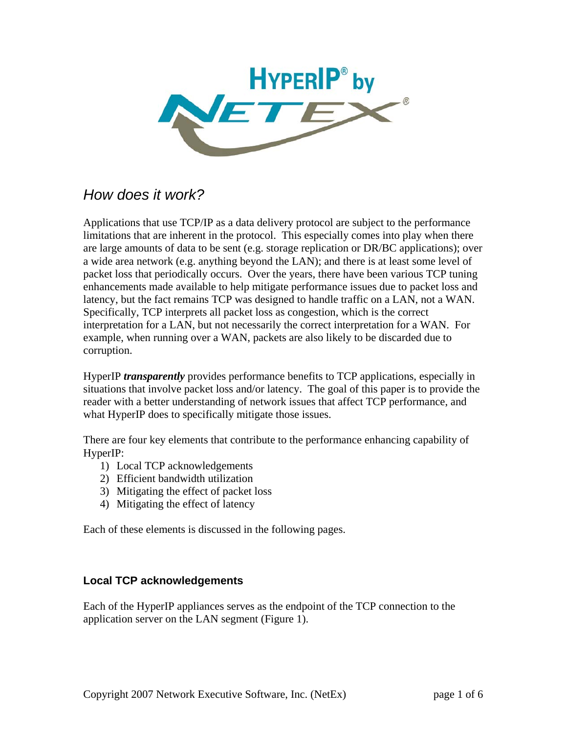

# *How does it work?*

Applications that use TCP/IP as a data delivery protocol are subject to the performance limitations that are inherent in the protocol. This especially comes into play when there are large amounts of data to be sent (e.g. storage replication or DR/BC applications); over a wide area network (e.g. anything beyond the LAN); and there is at least some level of packet loss that periodically occurs. Over the years, there have been various TCP tuning enhancements made available to help mitigate performance issues due to packet loss and latency, but the fact remains TCP was designed to handle traffic on a LAN, not a WAN. Specifically, TCP interprets all packet loss as congestion, which is the correct interpretation for a LAN, but not necessarily the correct interpretation for a WAN. For example, when running over a WAN, packets are also likely to be discarded due to corruption.

HyperIP *transparently* provides performance benefits to TCP applications, especially in situations that involve packet loss and/or latency. The goal of this paper is to provide the reader with a better understanding of network issues that affect TCP performance, and what HyperIP does to specifically mitigate those issues.

There are four key elements that contribute to the performance enhancing capability of HyperIP:

- 1) Local TCP acknowledgements
- 2) Efficient bandwidth utilization
- 3) Mitigating the effect of packet loss
- 4) Mitigating the effect of latency

Each of these elements is discussed in the following pages.

## **Local TCP acknowledgements**

Each of the HyperIP appliances serves as the endpoint of the TCP connection to the application server on the LAN segment (Figure 1).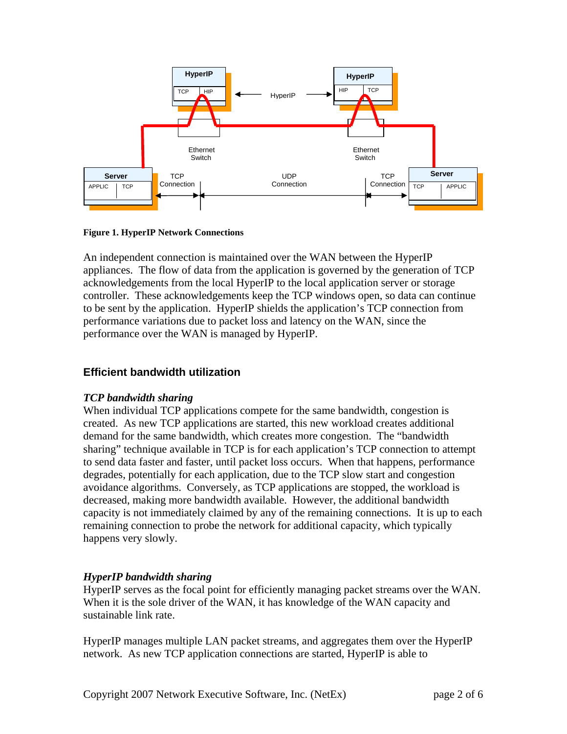

**Figure 1. HyperIP Network Connections** 

An independent connection is maintained over the WAN between the HyperIP appliances. The flow of data from the application is governed by the generation of TCP acknowledgements from the local HyperIP to the local application server or storage controller. These acknowledgements keep the TCP windows open, so data can continue to be sent by the application. HyperIP shields the application's TCP connection from performance variations due to packet loss and latency on the WAN, since the performance over the WAN is managed by HyperIP.

# **Efficient bandwidth utilization**

## *TCP bandwidth sharing*

When individual TCP applications compete for the same bandwidth, congestion is created. As new TCP applications are started, this new workload creates additional demand for the same bandwidth, which creates more congestion. The "bandwidth sharing" technique available in TCP is for each application's TCP connection to attempt to send data faster and faster, until packet loss occurs. When that happens, performance degrades, potentially for each application, due to the TCP slow start and congestion avoidance algorithms. Conversely, as TCP applications are stopped, the workload is decreased, making more bandwidth available. However, the additional bandwidth capacity is not immediately claimed by any of the remaining connections. It is up to each remaining connection to probe the network for additional capacity, which typically happens very slowly.

# *HyperIP bandwidth sharing*

HyperIP serves as the focal point for efficiently managing packet streams over the WAN. When it is the sole driver of the WAN, it has knowledge of the WAN capacity and sustainable link rate.

HyperIP manages multiple LAN packet streams, and aggregates them over the HyperIP network. As new TCP application connections are started, HyperIP is able to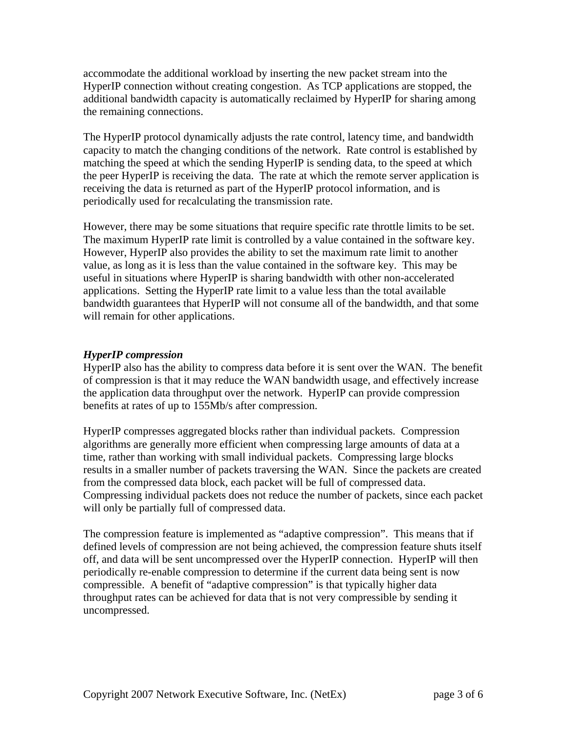accommodate the additional workload by inserting the new packet stream into the HyperIP connection without creating congestion. As TCP applications are stopped, the additional bandwidth capacity is automatically reclaimed by HyperIP for sharing among the remaining connections.

The HyperIP protocol dynamically adjusts the rate control, latency time, and bandwidth capacity to match the changing conditions of the network. Rate control is established by matching the speed at which the sending HyperIP is sending data, to the speed at which the peer HyperIP is receiving the data. The rate at which the remote server application is receiving the data is returned as part of the HyperIP protocol information, and is periodically used for recalculating the transmission rate.

However, there may be some situations that require specific rate throttle limits to be set. The maximum HyperIP rate limit is controlled by a value contained in the software key. However, HyperIP also provides the ability to set the maximum rate limit to another value, as long as it is less than the value contained in the software key. This may be useful in situations where HyperIP is sharing bandwidth with other non-accelerated applications. Setting the HyperIP rate limit to a value less than the total available bandwidth guarantees that HyperIP will not consume all of the bandwidth, and that some will remain for other applications.

## *HyperIP compression*

HyperIP also has the ability to compress data before it is sent over the WAN. The benefit of compression is that it may reduce the WAN bandwidth usage, and effectively increase the application data throughput over the network. HyperIP can provide compression benefits at rates of up to 155Mb/s after compression.

HyperIP compresses aggregated blocks rather than individual packets. Compression algorithms are generally more efficient when compressing large amounts of data at a time, rather than working with small individual packets. Compressing large blocks results in a smaller number of packets traversing the WAN. Since the packets are created from the compressed data block, each packet will be full of compressed data. Compressing individual packets does not reduce the number of packets, since each packet will only be partially full of compressed data.

The compression feature is implemented as "adaptive compression". This means that if defined levels of compression are not being achieved, the compression feature shuts itself off, and data will be sent uncompressed over the HyperIP connection. HyperIP will then periodically re-enable compression to determine if the current data being sent is now compressible. A benefit of "adaptive compression" is that typically higher data throughput rates can be achieved for data that is not very compressible by sending it uncompressed.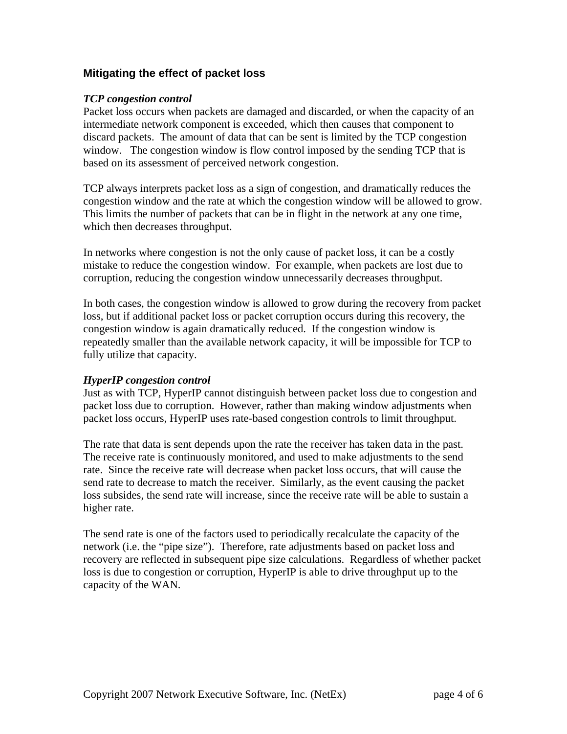## **Mitigating the effect of packet loss**

#### *TCP congestion control*

Packet loss occurs when packets are damaged and discarded, or when the capacity of an intermediate network component is exceeded, which then causes that component to discard packets. The amount of data that can be sent is limited by the TCP congestion window. The congestion window is flow control imposed by the sending TCP that is based on its assessment of perceived network congestion.

TCP always interprets packet loss as a sign of congestion, and dramatically reduces the congestion window and the rate at which the congestion window will be allowed to grow. This limits the number of packets that can be in flight in the network at any one time, which then decreases throughput.

In networks where congestion is not the only cause of packet loss, it can be a costly mistake to reduce the congestion window. For example, when packets are lost due to corruption, reducing the congestion window unnecessarily decreases throughput.

In both cases, the congestion window is allowed to grow during the recovery from packet loss, but if additional packet loss or packet corruption occurs during this recovery, the congestion window is again dramatically reduced. If the congestion window is repeatedly smaller than the available network capacity, it will be impossible for TCP to fully utilize that capacity.

## *HyperIP congestion control*

Just as with TCP, HyperIP cannot distinguish between packet loss due to congestion and packet loss due to corruption. However, rather than making window adjustments when packet loss occurs, HyperIP uses rate-based congestion controls to limit throughput.

The rate that data is sent depends upon the rate the receiver has taken data in the past. The receive rate is continuously monitored, and used to make adjustments to the send rate. Since the receive rate will decrease when packet loss occurs, that will cause the send rate to decrease to match the receiver. Similarly, as the event causing the packet loss subsides, the send rate will increase, since the receive rate will be able to sustain a higher rate.

The send rate is one of the factors used to periodically recalculate the capacity of the network (i.e. the "pipe size"). Therefore, rate adjustments based on packet loss and recovery are reflected in subsequent pipe size calculations. Regardless of whether packet loss is due to congestion or corruption, HyperIP is able to drive throughput up to the capacity of the WAN.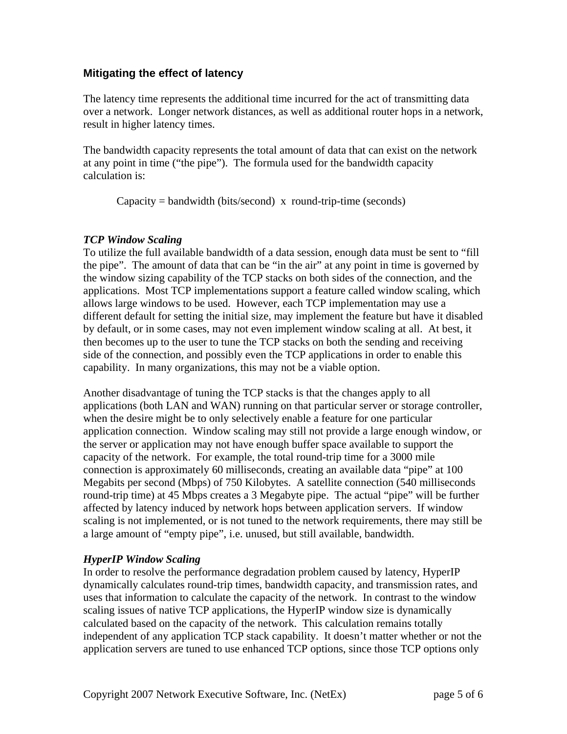## **Mitigating the effect of latency**

The latency time represents the additional time incurred for the act of transmitting data over a network. Longer network distances, as well as additional router hops in a network, result in higher latency times.

The bandwidth capacity represents the total amount of data that can exist on the network at any point in time ("the pipe"). The formula used for the bandwidth capacity calculation is:

 $Capacity = bandwidth (bits/second) \times round-trip-time (seconds)$ 

#### *TCP Window Scaling*

To utilize the full available bandwidth of a data session, enough data must be sent to "fill the pipe". The amount of data that can be "in the air" at any point in time is governed by the window sizing capability of the TCP stacks on both sides of the connection, and the applications. Most TCP implementations support a feature called window scaling, which allows large windows to be used. However, each TCP implementation may use a different default for setting the initial size, may implement the feature but have it disabled by default, or in some cases, may not even implement window scaling at all. At best, it then becomes up to the user to tune the TCP stacks on both the sending and receiving side of the connection, and possibly even the TCP applications in order to enable this capability. In many organizations, this may not be a viable option.

Another disadvantage of tuning the TCP stacks is that the changes apply to all applications (both LAN and WAN) running on that particular server or storage controller, when the desire might be to only selectively enable a feature for one particular application connection. Window scaling may still not provide a large enough window, or the server or application may not have enough buffer space available to support the capacity of the network. For example, the total round-trip time for a 3000 mile connection is approximately 60 milliseconds, creating an available data "pipe" at 100 Megabits per second (Mbps) of 750 Kilobytes. A satellite connection (540 milliseconds round-trip time) at 45 Mbps creates a 3 Megabyte pipe. The actual "pipe" will be further affected by latency induced by network hops between application servers. If window scaling is not implemented, or is not tuned to the network requirements, there may still be a large amount of "empty pipe", i.e. unused, but still available, bandwidth.

## *HyperIP Window Scaling*

In order to resolve the performance degradation problem caused by latency, HyperIP dynamically calculates round-trip times, bandwidth capacity, and transmission rates, and uses that information to calculate the capacity of the network. In contrast to the window scaling issues of native TCP applications, the HyperIP window size is dynamically calculated based on the capacity of the network. This calculation remains totally independent of any application TCP stack capability. It doesn't matter whether or not the application servers are tuned to use enhanced TCP options, since those TCP options only